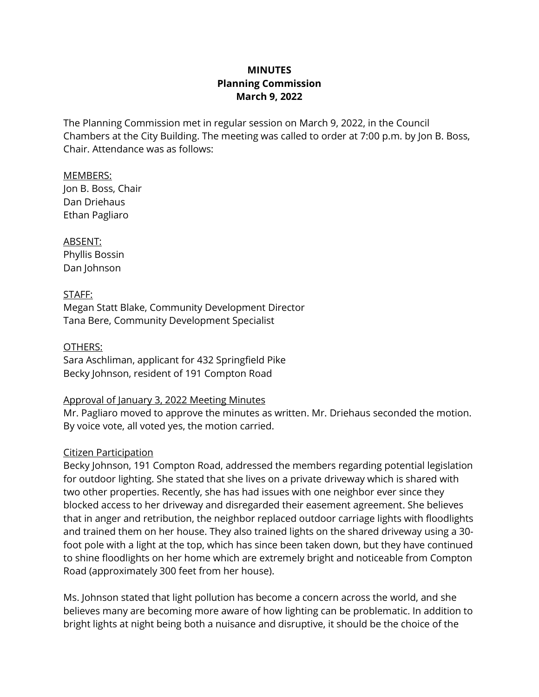# **MINUTES Planning Commission March 9, 2022**

The Planning Commission met in regular session on March 9, 2022, in the Council Chambers at the City Building. The meeting was called to order at 7:00 p.m. by Jon B. Boss, Chair. Attendance was as follows:

MEMBERS: Jon B. Boss, Chair Dan Driehaus Ethan Pagliaro

ABSENT: Phyllis Bossin Dan Johnson

STAFF: Megan Statt Blake, Community Development Director Tana Bere, Community Development Specialist

OTHERS: Sara Aschliman, applicant for 432 Springfield Pike Becky Johnson, resident of 191 Compton Road

### Approval of January 3, 2022 Meeting Minutes

Mr. Pagliaro moved to approve the minutes as written. Mr. Driehaus seconded the motion. By voice vote, all voted yes, the motion carried.

# Citizen Participation

Becky Johnson, 191 Compton Road, addressed the members regarding potential legislation for outdoor lighting. She stated that she lives on a private driveway which is shared with two other properties. Recently, she has had issues with one neighbor ever since they blocked access to her driveway and disregarded their easement agreement. She believes that in anger and retribution, the neighbor replaced outdoor carriage lights with floodlights and trained them on her house. They also trained lights on the shared driveway using a 30 foot pole with a light at the top, which has since been taken down, but they have continued to shine floodlights on her home which are extremely bright and noticeable from Compton Road (approximately 300 feet from her house).

Ms. Johnson stated that light pollution has become a concern across the world, and she believes many are becoming more aware of how lighting can be problematic. In addition to bright lights at night being both a nuisance and disruptive, it should be the choice of the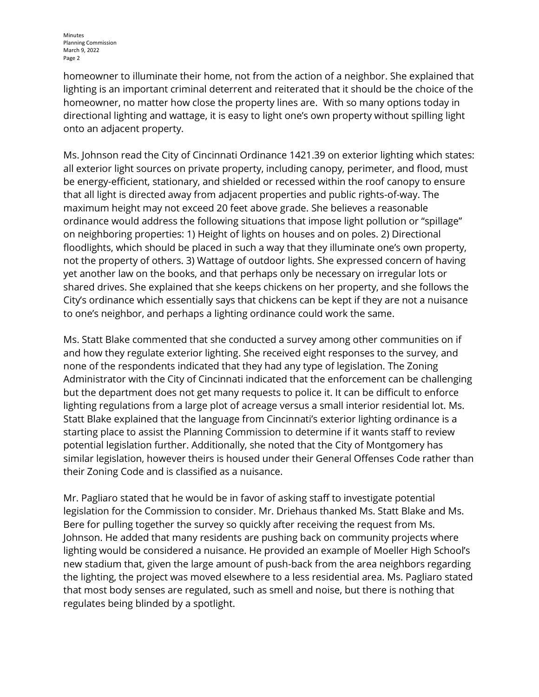homeowner to illuminate their home, not from the action of a neighbor. She explained that lighting is an important criminal deterrent and reiterated that it should be the choice of the homeowner, no matter how close the property lines are. With so many options today in directional lighting and wattage, it is easy to light one's own property without spilling light onto an adjacent property.

Ms. Johnson read the City of Cincinnati Ordinance 1421.39 on exterior lighting which states: all exterior light sources on private property, including canopy, perimeter, and flood, must be energy-efficient, stationary, and shielded or recessed within the roof canopy to ensure that all light is directed away from adjacent properties and public rights-of-way. The maximum height may not exceed 20 feet above grade. She believes a reasonable ordinance would address the following situations that impose light pollution or "spillage" on neighboring properties: 1) Height of lights on houses and on poles. 2) Directional floodlights, which should be placed in such a way that they illuminate one's own property, not the property of others. 3) Wattage of outdoor lights. She expressed concern of having yet another law on the books, and that perhaps only be necessary on irregular lots or shared drives. She explained that she keeps chickens on her property, and she follows the City's ordinance which essentially says that chickens can be kept if they are not a nuisance to one's neighbor, and perhaps a lighting ordinance could work the same.

Ms. Statt Blake commented that she conducted a survey among other communities on if and how they regulate exterior lighting. She received eight responses to the survey, and none of the respondents indicated that they had any type of legislation. The Zoning Administrator with the City of Cincinnati indicated that the enforcement can be challenging but the department does not get many requests to police it. It can be difficult to enforce lighting regulations from a large plot of acreage versus a small interior residential lot. Ms. Statt Blake explained that the language from Cincinnati's exterior lighting ordinance is a starting place to assist the Planning Commission to determine if it wants staff to review potential legislation further. Additionally, she noted that the City of Montgomery has similar legislation, however theirs is housed under their General Offenses Code rather than their Zoning Code and is classified as a nuisance.

Mr. Pagliaro stated that he would be in favor of asking staff to investigate potential legislation for the Commission to consider. Mr. Driehaus thanked Ms. Statt Blake and Ms. Bere for pulling together the survey so quickly after receiving the request from Ms. Johnson. He added that many residents are pushing back on community projects where lighting would be considered a nuisance. He provided an example of Moeller High School's new stadium that, given the large amount of push-back from the area neighbors regarding the lighting, the project was moved elsewhere to a less residential area. Ms. Pagliaro stated that most body senses are regulated, such as smell and noise, but there is nothing that regulates being blinded by a spotlight.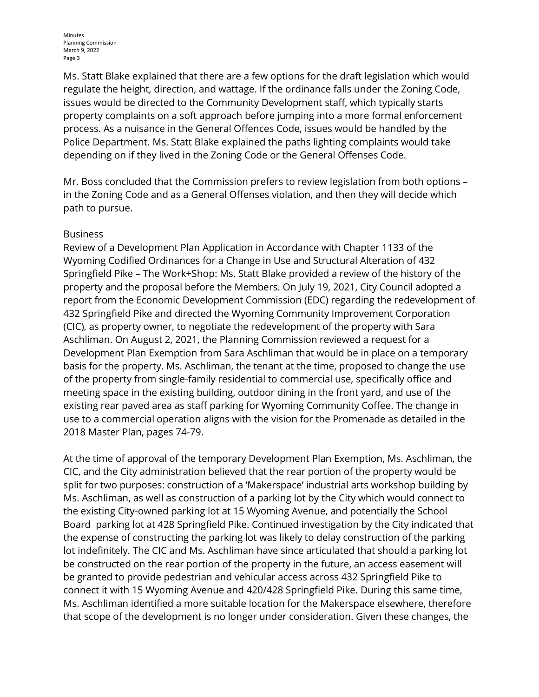Ms. Statt Blake explained that there are a few options for the draft legislation which would regulate the height, direction, and wattage. If the ordinance falls under the Zoning Code, issues would be directed to the Community Development staff, which typically starts property complaints on a soft approach before jumping into a more formal enforcement process. As a nuisance in the General Offences Code, issues would be handled by the Police Department. Ms. Statt Blake explained the paths lighting complaints would take depending on if they lived in the Zoning Code or the General Offenses Code.

Mr. Boss concluded that the Commission prefers to review legislation from both options – in the Zoning Code and as a General Offenses violation, and then they will decide which path to pursue.

### Business

Review of a Development Plan Application in Accordance with Chapter 1133 of the Wyoming Codified Ordinances for a Change in Use and Structural Alteration of 432 Springfield Pike – The Work+Shop: Ms. Statt Blake provided a review of the history of the property and the proposal before the Members. On July 19, 2021, City Council adopted a report from the Economic Development Commission (EDC) regarding the redevelopment of 432 Springfield Pike and directed the Wyoming Community Improvement Corporation (CIC), as property owner, to negotiate the redevelopment of the property with Sara Aschliman. On August 2, 2021, the Planning Commission reviewed a request for a Development Plan Exemption from Sara Aschliman that would be in place on a temporary basis for the property. Ms. Aschliman, the tenant at the time, proposed to change the use of the property from single-family residential to commercial use, specifically office and meeting space in the existing building, outdoor dining in the front yard, and use of the existing rear paved area as staff parking for Wyoming Community Coffee. The change in use to a commercial operation aligns with the vision for the Promenade as detailed in the 2018 Master Plan, pages 74-79.

At the time of approval of the temporary Development Plan Exemption, Ms. Aschliman, the CIC, and the City administration believed that the rear portion of the property would be split for two purposes: construction of a 'Makerspace' industrial arts workshop building by Ms. Aschliman, as well as construction of a parking lot by the City which would connect to the existing City-owned parking lot at 15 Wyoming Avenue, and potentially the School Board parking lot at 428 Springfield Pike. Continued investigation by the City indicated that the expense of constructing the parking lot was likely to delay construction of the parking lot indefinitely. The CIC and Ms. Aschliman have since articulated that should a parking lot be constructed on the rear portion of the property in the future, an access easement will be granted to provide pedestrian and vehicular access across 432 Springfield Pike to connect it with 15 Wyoming Avenue and 420/428 Springfield Pike. During this same time, Ms. Aschliman identified a more suitable location for the Makerspace elsewhere, therefore that scope of the development is no longer under consideration. Given these changes, the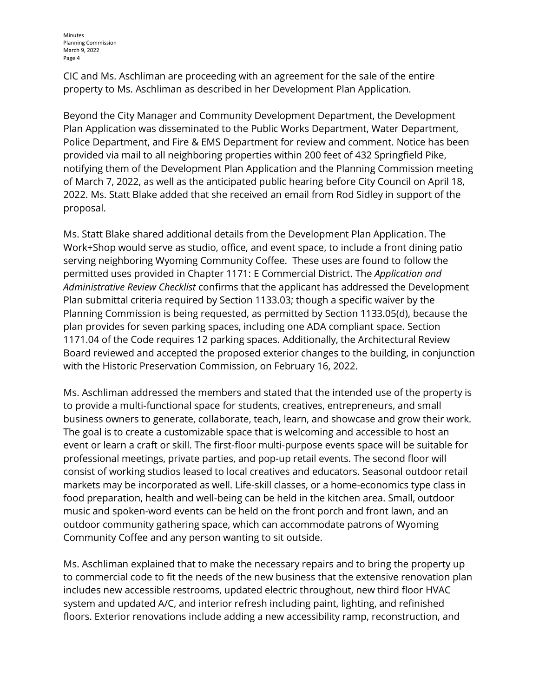CIC and Ms. Aschliman are proceeding with an agreement for the sale of the entire property to Ms. Aschliman as described in her Development Plan Application.

Beyond the City Manager and Community Development Department, the Development Plan Application was disseminated to the Public Works Department, Water Department, Police Department, and Fire & EMS Department for review and comment. Notice has been provided via mail to all neighboring properties within 200 feet of 432 Springfield Pike, notifying them of the Development Plan Application and the Planning Commission meeting of March 7, 2022, as well as the anticipated public hearing before City Council on April 18, 2022. Ms. Statt Blake added that she received an email from Rod Sidley in support of the proposal.

Ms. Statt Blake shared additional details from the Development Plan Application. The Work+Shop would serve as studio, office, and event space, to include a front dining patio serving neighboring Wyoming Community Coffee. These uses are found to follow the permitted uses provided in Chapter 1171: E Commercial District. The *Application and Administrative Review Checklist* confirms that the applicant has addressed the Development Plan submittal criteria required by Section 1133.03; though a specific waiver by the Planning Commission is being requested, as permitted by Section 1133.05(d), because the plan provides for seven parking spaces, including one ADA compliant space. Section 1171.04 of the Code requires 12 parking spaces. Additionally, the Architectural Review Board reviewed and accepted the proposed exterior changes to the building, in conjunction with the Historic Preservation Commission, on February 16, 2022.

Ms. Aschliman addressed the members and stated that the intended use of the property is to provide a multi-functional space for students, creatives, entrepreneurs, and small business owners to generate, collaborate, teach, learn, and showcase and grow their work. The goal is to create a customizable space that is welcoming and accessible to host an event or learn a craft or skill. The first-floor multi-purpose events space will be suitable for professional meetings, private parties, and pop-up retail events. The second floor will consist of working studios leased to local creatives and educators. Seasonal outdoor retail markets may be incorporated as well. Life-skill classes, or a home-economics type class in food preparation, health and well-being can be held in the kitchen area. Small, outdoor music and spoken-word events can be held on the front porch and front lawn, and an outdoor community gathering space, which can accommodate patrons of Wyoming Community Coffee and any person wanting to sit outside.

Ms. Aschliman explained that to make the necessary repairs and to bring the property up to commercial code to fit the needs of the new business that the extensive renovation plan includes new accessible restrooms, updated electric throughout, new third floor HVAC system and updated A/C, and interior refresh including paint, lighting, and refinished floors. Exterior renovations include adding a new accessibility ramp, reconstruction, and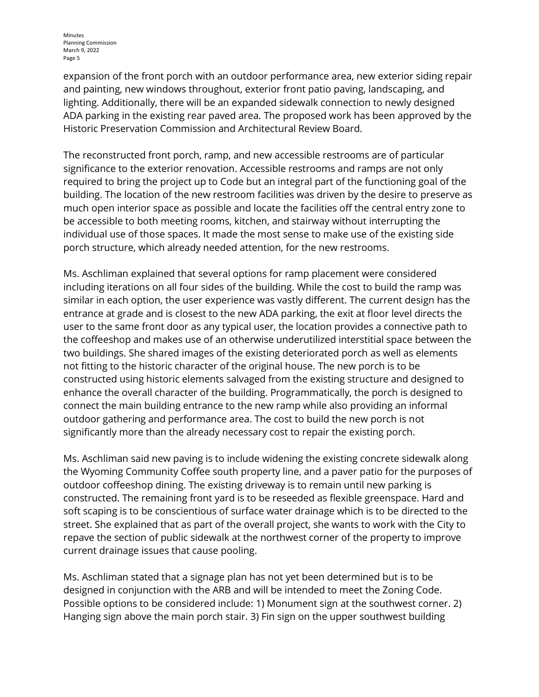expansion of the front porch with an outdoor performance area, new exterior siding repair and painting, new windows throughout, exterior front patio paving, landscaping, and lighting. Additionally, there will be an expanded sidewalk connection to newly designed ADA parking in the existing rear paved area. The proposed work has been approved by the Historic Preservation Commission and Architectural Review Board.

The reconstructed front porch, ramp, and new accessible restrooms are of particular significance to the exterior renovation. Accessible restrooms and ramps are not only required to bring the project up to Code but an integral part of the functioning goal of the building. The location of the new restroom facilities was driven by the desire to preserve as much open interior space as possible and locate the facilities off the central entry zone to be accessible to both meeting rooms, kitchen, and stairway without interrupting the individual use of those spaces. It made the most sense to make use of the existing side porch structure, which already needed attention, for the new restrooms.

Ms. Aschliman explained that several options for ramp placement were considered including iterations on all four sides of the building. While the cost to build the ramp was similar in each option, the user experience was vastly different. The current design has the entrance at grade and is closest to the new ADA parking, the exit at floor level directs the user to the same front door as any typical user, the location provides a connective path to the coffeeshop and makes use of an otherwise underutilized interstitial space between the two buildings. She shared images of the existing deteriorated porch as well as elements not fitting to the historic character of the original house. The new porch is to be constructed using historic elements salvaged from the existing structure and designed to enhance the overall character of the building. Programmatically, the porch is designed to connect the main building entrance to the new ramp while also providing an informal outdoor gathering and performance area. The cost to build the new porch is not significantly more than the already necessary cost to repair the existing porch.

Ms. Aschliman said new paving is to include widening the existing concrete sidewalk along the Wyoming Community Coffee south property line, and a paver patio for the purposes of outdoor coffeeshop dining. The existing driveway is to remain until new parking is constructed. The remaining front yard is to be reseeded as flexible greenspace. Hard and soft scaping is to be conscientious of surface water drainage which is to be directed to the street. She explained that as part of the overall project, she wants to work with the City to repave the section of public sidewalk at the northwest corner of the property to improve current drainage issues that cause pooling.

Ms. Aschliman stated that a signage plan has not yet been determined but is to be designed in conjunction with the ARB and will be intended to meet the Zoning Code. Possible options to be considered include: 1) Monument sign at the southwest corner. 2) Hanging sign above the main porch stair. 3) Fin sign on the upper southwest building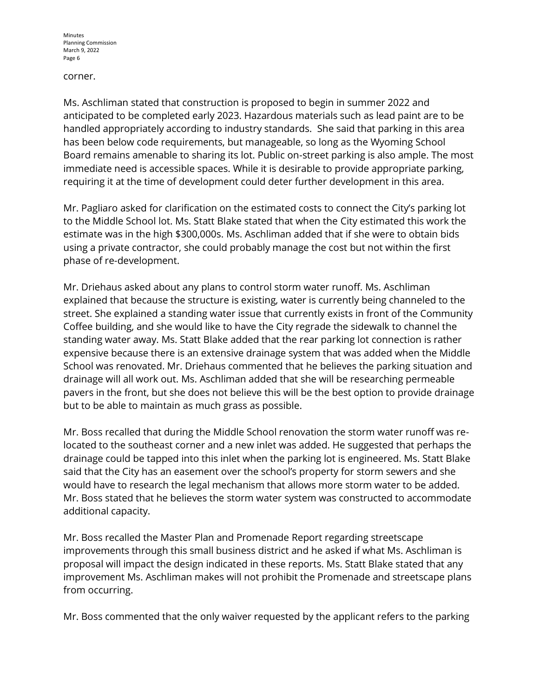#### corner.

Ms. Aschliman stated that construction is proposed to begin in summer 2022 and anticipated to be completed early 2023. Hazardous materials such as lead paint are to be handled appropriately according to industry standards. She said that parking in this area has been below code requirements, but manageable, so long as the Wyoming School Board remains amenable to sharing its lot. Public on-street parking is also ample. The most immediate need is accessible spaces. While it is desirable to provide appropriate parking, requiring it at the time of development could deter further development in this area.

Mr. Pagliaro asked for clarification on the estimated costs to connect the City's parking lot to the Middle School lot. Ms. Statt Blake stated that when the City estimated this work the estimate was in the high \$300,000s. Ms. Aschliman added that if she were to obtain bids using a private contractor, she could probably manage the cost but not within the first phase of re-development.

Mr. Driehaus asked about any plans to control storm water runoff. Ms. Aschliman explained that because the structure is existing, water is currently being channeled to the street. She explained a standing water issue that currently exists in front of the Community Coffee building, and she would like to have the City regrade the sidewalk to channel the standing water away. Ms. Statt Blake added that the rear parking lot connection is rather expensive because there is an extensive drainage system that was added when the Middle School was renovated. Mr. Driehaus commented that he believes the parking situation and drainage will all work out. Ms. Aschliman added that she will be researching permeable pavers in the front, but she does not believe this will be the best option to provide drainage but to be able to maintain as much grass as possible.

Mr. Boss recalled that during the Middle School renovation the storm water runoff was relocated to the southeast corner and a new inlet was added. He suggested that perhaps the drainage could be tapped into this inlet when the parking lot is engineered. Ms. Statt Blake said that the City has an easement over the school's property for storm sewers and she would have to research the legal mechanism that allows more storm water to be added. Mr. Boss stated that he believes the storm water system was constructed to accommodate additional capacity.

Mr. Boss recalled the Master Plan and Promenade Report regarding streetscape improvements through this small business district and he asked if what Ms. Aschliman is proposal will impact the design indicated in these reports. Ms. Statt Blake stated that any improvement Ms. Aschliman makes will not prohibit the Promenade and streetscape plans from occurring.

Mr. Boss commented that the only waiver requested by the applicant refers to the parking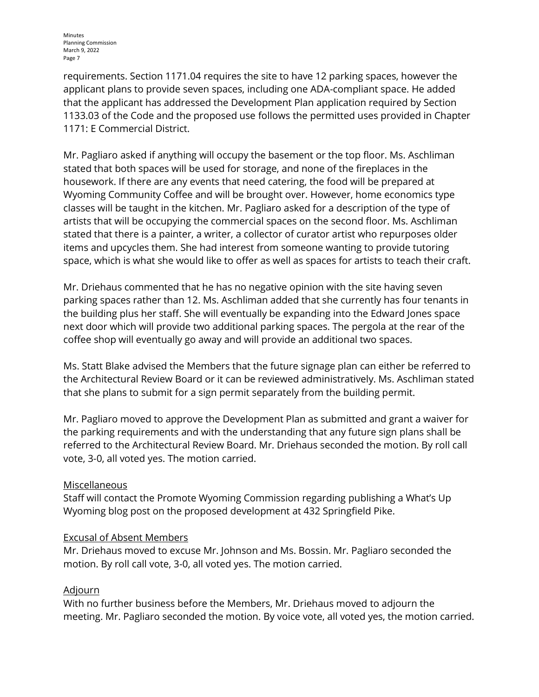requirements. Section 1171.04 requires the site to have 12 parking spaces, however the applicant plans to provide seven spaces, including one ADA-compliant space. He added that the applicant has addressed the Development Plan application required by Section 1133.03 of the Code and the proposed use follows the permitted uses provided in Chapter 1171: E Commercial District.

Mr. Pagliaro asked if anything will occupy the basement or the top floor. Ms. Aschliman stated that both spaces will be used for storage, and none of the fireplaces in the housework. If there are any events that need catering, the food will be prepared at Wyoming Community Coffee and will be brought over. However, home economics type classes will be taught in the kitchen. Mr. Pagliaro asked for a description of the type of artists that will be occupying the commercial spaces on the second floor. Ms. Aschliman stated that there is a painter, a writer, a collector of curator artist who repurposes older items and upcycles them. She had interest from someone wanting to provide tutoring space, which is what she would like to offer as well as spaces for artists to teach their craft.

Mr. Driehaus commented that he has no negative opinion with the site having seven parking spaces rather than 12. Ms. Aschliman added that she currently has four tenants in the building plus her staff. She will eventually be expanding into the Edward Jones space next door which will provide two additional parking spaces. The pergola at the rear of the coffee shop will eventually go away and will provide an additional two spaces.

Ms. Statt Blake advised the Members that the future signage plan can either be referred to the Architectural Review Board or it can be reviewed administratively. Ms. Aschliman stated that she plans to submit for a sign permit separately from the building permit.

Mr. Pagliaro moved to approve the Development Plan as submitted and grant a waiver for the parking requirements and with the understanding that any future sign plans shall be referred to the Architectural Review Board. Mr. Driehaus seconded the motion. By roll call vote, 3-0, all voted yes. The motion carried.

### Miscellaneous

Staff will contact the Promote Wyoming Commission regarding publishing a What's Up Wyoming blog post on the proposed development at 432 Springfield Pike.

### Excusal of Absent Members

Mr. Driehaus moved to excuse Mr. Johnson and Ms. Bossin. Mr. Pagliaro seconded the motion. By roll call vote, 3-0, all voted yes. The motion carried.

### Adjourn

With no further business before the Members, Mr. Driehaus moved to adjourn the meeting. Mr. Pagliaro seconded the motion. By voice vote, all voted yes, the motion carried.